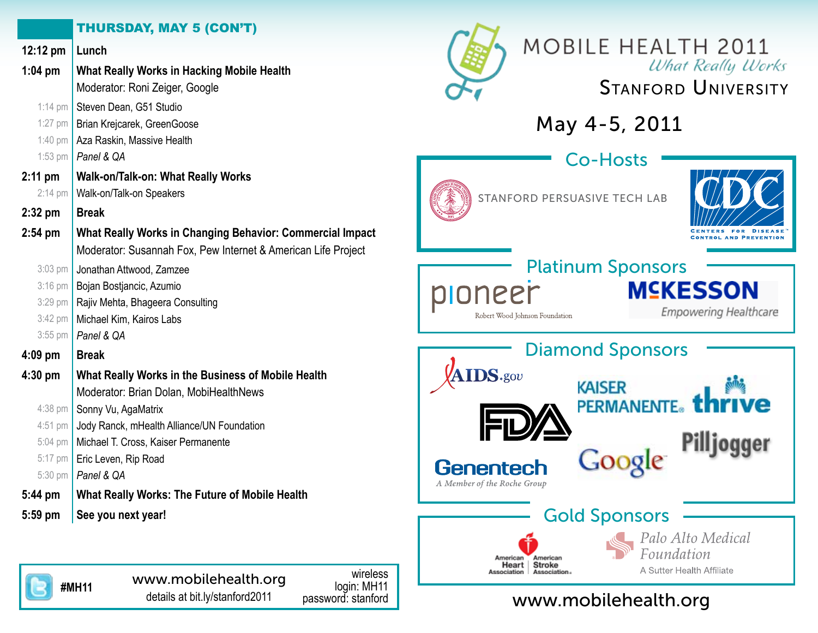## THURSDAY, MAY 5 (CON'T)

| 12:12 pm          | Lunch                                                         | <b>MOBILE HEALTH 2011</b>                          |
|-------------------|---------------------------------------------------------------|----------------------------------------------------|
| $1:04$ pm         | What Really Works in Hacking Mobile Health                    | <b>What Really Works</b>                           |
|                   | Moderator: Roni Zeiger, Google                                | <b>STANFORD UNIVERSITY</b>                         |
| $1:14$ pm         | Steven Dean, G51 Studio                                       |                                                    |
| 1:27 pm           | Brian Krejcarek, GreenGoose                                   | May 4-5, 2011                                      |
| $1:40 \text{ pm}$ | Aza Raskin, Massive Health                                    |                                                    |
| $1:53$ pm         | Panel & QA                                                    | <b>Co-Hosts</b>                                    |
| $2:11$ pm         | Walk-on/Talk-on: What Really Works                            |                                                    |
| $2:14 \text{ pm}$ | Walk-on/Talk-on Speakers                                      | STANFORD PERSUASIVE TECH LAB                       |
| 2:32 pm           | <b>Break</b>                                                  |                                                    |
| $2:54$ pm         | What Really Works in Changing Behavior: Commercial Impact     | ENTERS FOR DISEASE<br><b>ONTROL AND PREVENTION</b> |
|                   | Moderator: Susannah Fox, Pew Internet & American Life Project |                                                    |
| $3:03$ pm         | Jonathan Attwood, Zamzee                                      | <b>Platinum Sponsors</b>                           |
| $3:16$ pm         | Bojan Bostjancic, Azumio                                      | M⊆KESSON                                           |
| $3:29$ pm         | Rajiv Mehta, Bhageera Consulting                              | neer<br><b>Empowering Healthcare</b>               |
| $3:42$ pm         | Michael Kim, Kairos Labs                                      | Robert Wood Johnson Foundation                     |
| $3:55$ pm         | Panel & QA                                                    |                                                    |
| 4:09 pm           | <b>Break</b>                                                  | <b>Diamond Sponsors</b>                            |
| 4:30 pm           | What Really Works in the Business of Mobile Health            | <b>AIDS</b> *gov                                   |
|                   | Moderator: Brian Dolan, MobiHealthNews                        | <b>KAISER</b>                                      |
| 4:38 pm           | Sonny Vu, AgaMatrix                                           | <b>PERMANENTE</b> ®                                |
| 4:51 pm           | Jody Ranck, mHealth Alliance/UN Foundation                    |                                                    |
| 5:04 pm           | Michael T. Cross, Kaiser Permanente                           | Pilljogger                                         |
| 5:17 pm           | Eric Leven, Rip Road                                          | <b>Google</b><br><b>Genentech</b>                  |
| $5:30 \text{ pm}$ | Panel & QA                                                    | A Member of the Roche Group                        |
| 5:44 pm           | What Really Works: The Future of Mobile Health                |                                                    |
| 5:59 pm           | See you next year!                                            | <b>Gold Sponsors</b>                               |
|                   |                                                               | Palo Alto Medical                                  |
|                   |                                                               | Foundation<br>American<br>American                 |



wireless login: MH11<br>password: stanford

www.mobilehealth.org

Heart

Association

**Stroke** 

Association.

A Sutter Health Affiliate